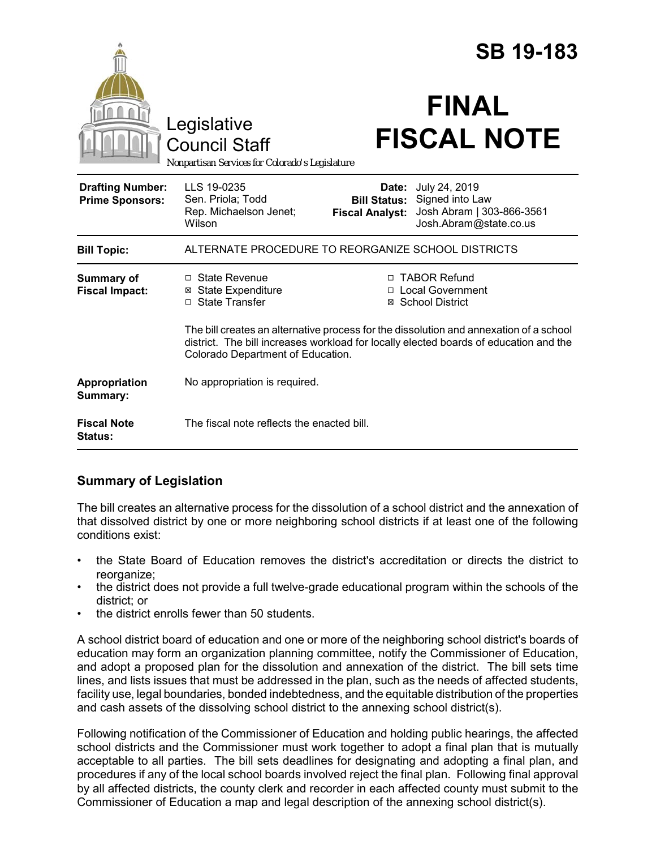|                                                                                        |                                                                                                                                                                                                                      |                                                        | <b>SB 19-183</b>                                                                        |
|----------------------------------------------------------------------------------------|----------------------------------------------------------------------------------------------------------------------------------------------------------------------------------------------------------------------|--------------------------------------------------------|-----------------------------------------------------------------------------------------|
| Legislative<br><b>Council Staff</b><br>Nonpartisan Services for Colorado's Legislature |                                                                                                                                                                                                                      | <b>FINAL</b><br><b>FISCAL NOTE</b>                     |                                                                                         |
| <b>Drafting Number:</b><br><b>Prime Sponsors:</b>                                      | LLS 19-0235<br>Sen. Priola; Todd<br>Rep. Michaelson Jenet;<br>Wilson                                                                                                                                                 | Date:<br><b>Bill Status:</b><br><b>Fiscal Analyst:</b> | July 24, 2019<br>Signed into Law<br>Josh Abram   303-866-3561<br>Josh.Abram@state.co.us |
| <b>Bill Topic:</b>                                                                     | ALTERNATE PROCEDURE TO REORGANIZE SCHOOL DISTRICTS                                                                                                                                                                   |                                                        |                                                                                         |
| <b>Summary of</b><br><b>Fiscal Impact:</b>                                             | □ State Revenue<br><b>⊠</b> State Expenditure<br>□ State Transfer                                                                                                                                                    |                                                        | □ TABOR Refund<br>□ Local Government<br>⊠ School District                               |
|                                                                                        | The bill creates an alternative process for the dissolution and annexation of a school<br>district. The bill increases workload for locally elected boards of education and the<br>Colorado Department of Education. |                                                        |                                                                                         |
| Appropriation<br>Summary:                                                              | No appropriation is required.                                                                                                                                                                                        |                                                        |                                                                                         |
| <b>Fiscal Note</b><br><b>Status:</b>                                                   | The fiscal note reflects the enacted bill.                                                                                                                                                                           |                                                        |                                                                                         |

# **Summary of Legislation**

The bill creates an alternative process for the dissolution of a school district and the annexation of that dissolved district by one or more neighboring school districts if at least one of the following conditions exist:

- the State Board of Education removes the district's accreditation or directs the district to reorganize;
- the district does not provide a full twelve-grade educational program within the schools of the district; or
- the district enrolls fewer than 50 students.

A school district board of education and one or more of the neighboring school district's boards of education may form an organization planning committee, notify the Commissioner of Education, and adopt a proposed plan for the dissolution and annexation of the district. The bill sets time lines, and lists issues that must be addressed in the plan, such as the needs of affected students, facility use, legal boundaries, bonded indebtedness, and the equitable distribution of the properties and cash assets of the dissolving school district to the annexing school district(s).

Following notification of the Commissioner of Education and holding public hearings, the affected school districts and the Commissioner must work together to adopt a final plan that is mutually acceptable to all parties. The bill sets deadlines for designating and adopting a final plan, and procedures if any of the local school boards involved reject the final plan. Following final approval by all affected districts, the county clerk and recorder in each affected county must submit to the Commissioner of Education a map and legal description of the annexing school district(s).